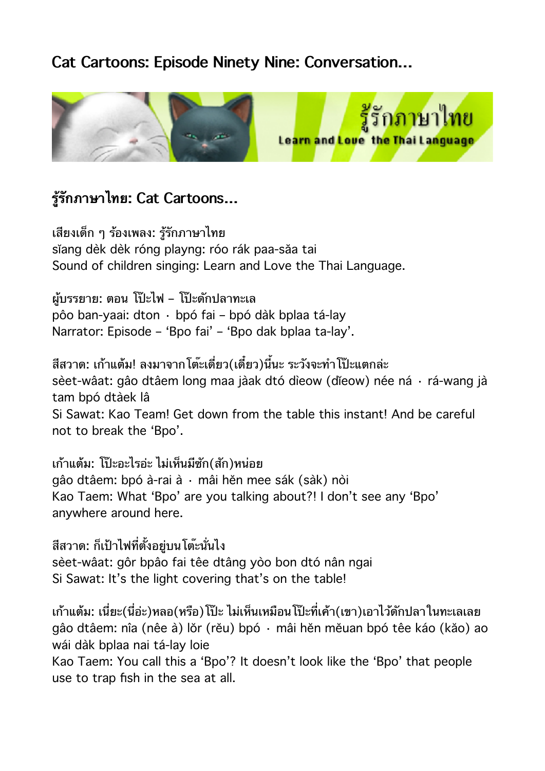## **Cat Cartoons: Episode Ninety Nine: Conversation…**



## **รรกภาษาไทย: Cat Cartoons…**

เสยงเดก ๆ รองเพลง: รรกภาษาไทย sĭang dèk dèk róng playng: róo rák paa-săa tai Sound of children singing: Learn and Love the Thai Language.

ผบรรยาย: ตอน โปะไฟ – โปะดกปลาทะเล pôo ban-yaai: dton · bpó fai – bpó dàk bplaa tá-lay Narrator: Episode – 'Bpo fai' – 'Bpo dak bplaa ta-lay'.

สีสวาด: เก้าแต้ม! ลงมาจากโต๊ะเดี่ยว(เดี๋ยว)นี้นะ ระวังจะทำโป๊ะแตกล่ะ sèet-wâat: gâo dtâem long maa jàak dtó dìeow (dĭeow) née ná · rá-wang jà tam bpó dtàek lâ Si Sawat: Kao Team! Get down from the table this instant! And be careful not to break the 'Bpo'.

เกาแตม: โปะอะไรอะ ไมเหนมซก(สก)หนอย gâo dtâem: bpó à-rai à · mâi hĕn mee sák (sàk) nòi Kao Taem: What 'Bpo' are you talking about?! I don't see any 'Bpo' anywhere around here.

้สีสวาด: ก็เป้าไฟที่ตั้งอย่บนโต๊ะนั่นไง sèet-wâat: gôr bpâo fai têe dtâng yòo bon dtó nân ngai Si Sawat: It's the light covering that's on the table!

้เก้าแต้ม: เนี่ยะ(นี่อ่ะ)หลอ(หรือ)โป๊ะ ไม่เห็นเหมือนโป๊ะที่เค้า(เขา)เอาไว้ดักปลาในทะเลเลย gâo dtâem: nîa (nêe à) lŏr (rĕu) bpó · mâi hĕn mĕuan bpó têe káo (kăo) ao wái dàk bplaa nai tá-lay loie

Kao Taem: You call this a 'Bpo'? It doesn't look like the 'Bpo' that people use to trap fish in the sea at all.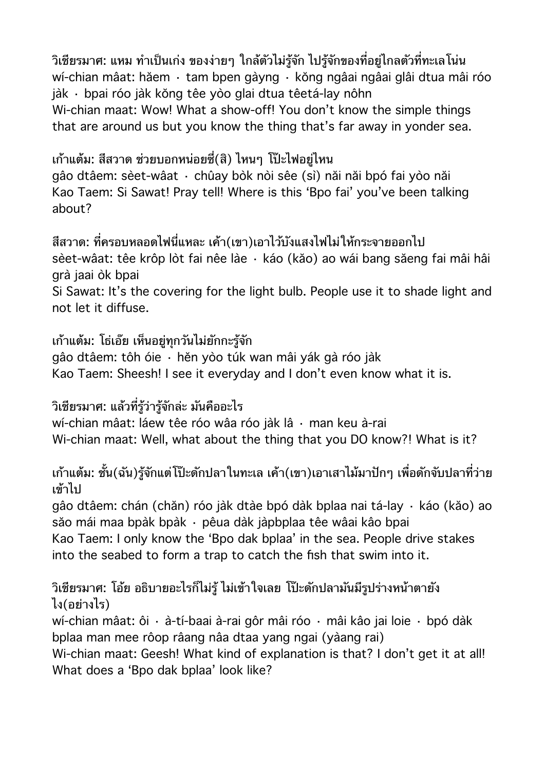้วิเชียรมาศ: แหม ทำเป็นเก่ง ของง่ายๆ ใกล้ตัวไม่รู้จัก ไปรู้จักของที่อยู่ไกลตัวที่ทะเลโน่น wí-chian mâat: hăem · tam bpen gàyng · kŏng ngâai ngâai glâi dtua mâi róo jàk · bpai róo jàk kŏng têe yòo glai dtua têetá-lay nôhn Wi-chian maat: Wow! What a show-off! You don't know the simple things that are around us but you know the thing that's far away in yonder sea.

เกาแตม: สสวาด ชวยบอกหนอยซ(ส) ไหนๆ โปะไฟอยไหน gâo dtâem: sèet-wâat · chûay bòk nòi sêe (sì) năi năi bpó fai yòo năi

Kao Taem: Si Sawat! Pray tell! Where is this 'Bpo fai' you've been talking about?

สีสวาด: ที่ครอบหลอดไฟนี่แหละ เค้า(เขา)เอาไว้บังแสงไฟไม่ให้กระจายออกไป sèet-wâat: têe krôp lòt fai nêe làe · káo (kăo) ao wái bang săeng fai mâi hâi grà jaai òk bpai

Si Sawat: It's the covering for the light bulb. People use it to shade light and not let it diffuse.

เก้าแต้ม: โธ่เอ๊ย เห็นอยู่ทุกวันไม่ยักกะรู้จัก

gâo dtâem: tôh óie · hĕn yòo túk wan mâi yák gà róo jàk Kao Taem: Sheesh! I see it everyday and I don't even know what it is.

้วิเชียรมาศ: แล้วที่รัว่ารัจักล่ะ มันคืออะไร

wí-chian mâat: láew têe róo wâa róo jàk lâ · man keu à-rai Wi-chian maat: Well, what about the thing that you DO know?! What is it?

้เก้าแต้ม: ชั้น(ฉัน)รู้จักแต่โป๊ะดักปลาในทะเล เค้า(เขา)เอาเสาไม้มาปักๆ เพื่อดักจับปลาที่ว่าย เข้าไป

gâo dtâem: chán (chăn) róo jàk dtàe bpó dàk bplaa nai tá-lay · káo (kăo) ao săo mái maa bpàk bpàk · pêua dàk jàpbplaa têe wâai kâo bpai Kao Taem: I only know the 'Bpo dak bplaa' in the sea. People drive stakes into the seabed to form a trap to catch the fish that swim into it.

วิเชียรมาศ: โอ้ย อธิบายอะไรก็ไม่ร้ ไม่เข้าใจเลย โป๊ะดักปลามันมีรปร่างหน้าตายัง ไง(อยางไร)

wí-chian mâat: ôi · à-tí-baai à-rai gôr mâi róo · mâi kâo jai loie · bpó dàk bplaa man mee rôop râang nâa dtaa yang ngai (yàang rai)

Wi-chian maat: Geesh! What kind of explanation is that? I don't get it at all! What does a 'Bpo dak bplaa' look like?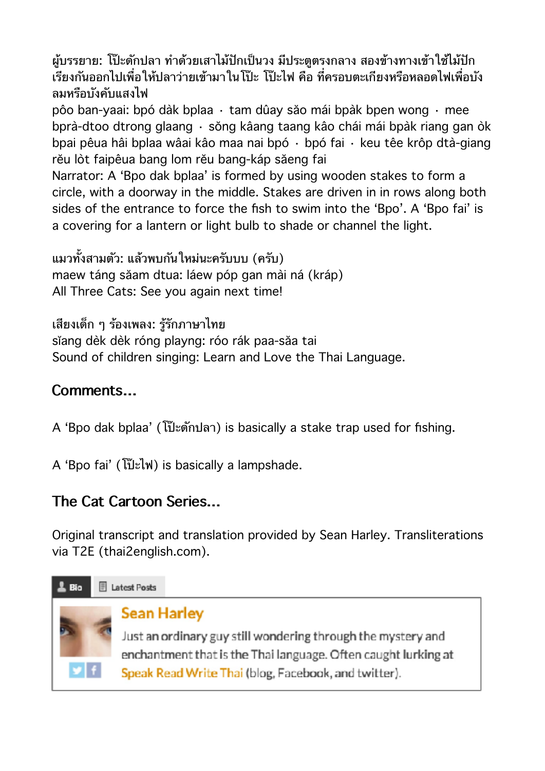ผู้บรรยาย: โป๊ะดักปลา ทำด้วยเสาไม้ปักเป็นวง มีประตูตรงกลาง สองข้างทางเข้าใช้ไม้ปัก เรียงกันออกไปเพื่อให้ปลาว่ายเข้ามาในโป๊ะ โป๊ะไฟ คือ ที่ครอบตะเกียงหรือหลอดไฟเพื่อบัง ลมหรอบงคบแสงไฟ

pôo ban-yaai: bpó dàk bplaa · tam dûay săo mái bpàk bpen wong · mee bprà-dtoo dtrong glaang · sŏng kâang taang kâo chái mái bpàk riang gan òk bpai pêua hâi bplaa wâai kâo maa nai bpó · bpó fai · keu têe krôp dtà-giang rĕu lòt faipêua bang lom rĕu bang-káp săeng fai

Narrator: A 'Bpo dak bplaa' is formed by using wooden stakes to form a circle, with a doorway in the middle. Stakes are driven in in rows along both sides of the entrance to force the fish to swim into the 'Bpo'. A 'Bpo fai' is a covering for a lantern or light bulb to shade or channel the light.

แมวทั้งสามตัว: แล้วพบกันใหม่นะครับบบ (ครับ) maew táng săam dtua: láew póp gan mài ná (kráp) All Three Cats: See you again next time!

เสยงเดก ๆ รองเพลง: รรกภาษาไทย sĭang dèk dèk róng playng: róo rák paa-săa tai Sound of children singing: Learn and Love the Thai Language.

## **Comments…**

A 'Bpo dak bplaa' (โปะดกปลา) is basically a stake trap used for fishing.

A 'Bpo fai' (โปะไฟ) is basically a lampshade.

## **The Cat Cartoon Series…**

Original transcript and translation provided by Sean Harley. Transliterations via T2E [\(thai2english.com](http://thai2english.com/)).